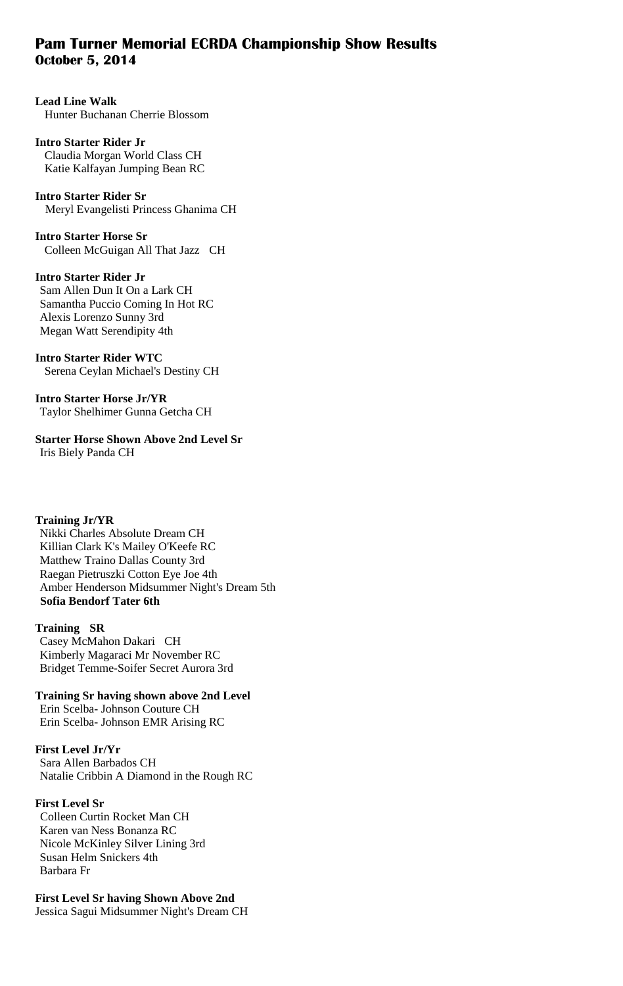# **Pam Turner Memorial ECRDA Championship Show Results October 5, 2014**

#### **Lead Line Walk**  Hunter Buchanan Cherrie Blossom

#### **Intro Starter Rider Jr**  Claudia Morgan World Class CH Katie Kalfayan Jumping Bean RC

**Intro Starter Rider Sr** Meryl Evangelisti Princess Ghanima CH

**Intro Starter Horse Sr**  Colleen McGuigan All That Jazz CH

**Intro Starter Rider Jr**  Sam Allen Dun It On a Lark CH Samantha Puccio Coming In Hot RC Alexis Lorenzo Sunny 3rd

Megan Watt Serendipity 4th

**Intro Starter Rider WTC** Serena Ceylan Michael's Destiny CH

**Intro Starter Horse Jr/YR**  Taylor Shelhimer Gunna Getcha CH

**Starter Horse Shown Above 2nd Level Sr**  Iris Biely Panda CH

### **Training Jr/YR**

 Nikki Charles Absolute Dream CH Killian Clark K's Mailey O'Keefe RC Matthew Traino Dallas County 3rd Raegan Pietruszki Cotton Eye Joe 4th Amber Henderson Midsummer Night's Dream 5th  **Sofia Bendorf Tater 6th** 

### **Training SR**

 Casey McMahon Dakari CH Kimberly Magaraci Mr November RC Bridget Temme-Soifer Secret Aurora 3rd

**Training Sr having shown above 2nd Level**  Erin Scelba- Johnson Couture CH Erin Scelba- Johnson EMR Arising RC

### **First Level Jr/Yr**

 Sara Allen Barbados CH Natalie Cribbin A Diamond in the Rough RC

### **First Level Sr**

Colleen Curtin Rocket Man CH Karen van Ness Bonanza RC Nicole McKinley Silver Lining 3rd Susan Helm Snickers 4th Barbara Fr

### **First Level Sr having Shown Above 2nd**

Jessica Sagui Midsummer Night's Dream CH